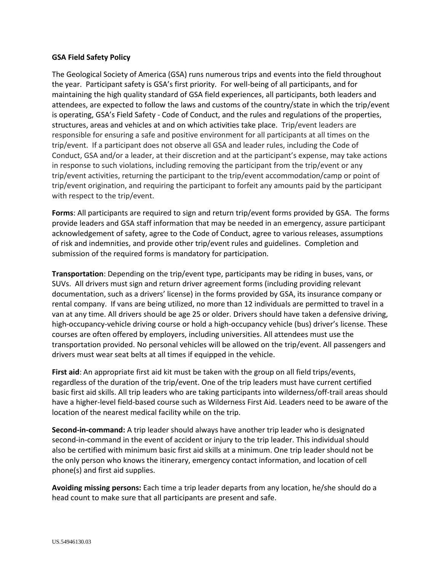## **GSA Field Safety Policy**

The Geological Society of America (GSA) runs numerous trips and events into the field throughout the year. Participant safety is GSA's first priority. For well-being of all participants, and for maintaining the high quality standard of GSA field experiences, all participants, both leaders and attendees, are expected to follow the laws and customs of the country/state in which the trip/event is operating, GSA's Field Safety - Code of Conduct, and the rules and regulations of the properties, structures, areas and vehicles at and on which activities take place. Trip/event leaders are responsible for ensuring a safe and positive environment for all participants at all times on the trip/event. If a participant does not observe all GSA and leader rules, including the Code of Conduct, GSA and/or a leader, at their discretion and at the participant's expense, may take actions in response to such violations, including removing the participant from the trip/event or any trip/event activities, returning the participant to the trip/event accommodation/camp or point of trip/event origination, and requiring the participant to forfeit any amounts paid by the participant with respect to the trip/event.

**Forms**: All participants are required to sign and return trip/event forms provided by GSA. The forms provide leaders and GSA staff information that may be needed in an emergency, assure participant acknowledgement of safety, agree to the Code of Conduct, agree to various releases, assumptions of risk and indemnities, and provide other trip/event rules and guidelines. Completion and submission of the required forms is mandatory for participation.

**Transportation**: Depending on the trip/event type, participants may be riding in buses, vans, or SUVs. All drivers must sign and return driver agreement forms (including providing relevant documentation, such as a drivers' license) in the forms provided by GSA, its insurance company or rental company. If vans are being utilized, no more than 12 individuals are permitted to travel in a van at any time. All drivers should be age 25 or older. Drivers should have taken a defensive driving, high-occupancy-vehicle driving course or hold a high-occupancy vehicle (bus) driver's license. These courses are often offered by employers, including universities. All attendees must use the transportation provided. No personal vehicles will be allowed on the trip/event. All passengers and drivers must wear seat belts at all times if equipped in the vehicle.

**First aid**: An appropriate first aid kit must be taken with the group on all field trips/events, regardless of the duration of the trip/event. One of the trip leaders must have current certified basic first aid skills. All trip leaders who are taking participants into wilderness/off-trail areas should have a higher-level field-based course such as Wilderness First Aid. Leaders need to be aware of the location of the nearest medical facility while on the trip.

**Second-in-command:** A trip leader should always have another trip leader who is designated second-in-command in the event of accident or injury to the trip leader. This individual should also be certified with minimum basic first aid skills at a minimum. One trip leader should not be the only person who knows the itinerary, emergency contact information, and location of cell phone(s) and first aid supplies.

**Avoiding missing persons:** Each time a trip leader departs from any location, he/she should do a head count to make sure that all participants are present and safe.